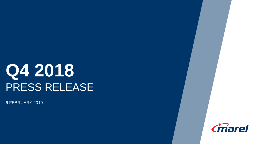# **Q4 2018** PRESS RELEASE

6 FEBRUARY 2019

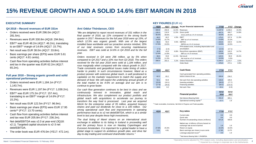

### **15% REVENUE GROWTH AND A SOLID 14.6% EBIT MARGIN IN 2018**

#### **EXECUTIVE SUMMARY KEY FIGURES (**EUR m)

#### **Q4 2018 – Record revenues of EUR 331m**

- Orders received were EUR 296.0m (4Q17: 281.5m).
- Revenues were EUR 330.8m (4Q18: 294.8m).
- EBIT\* was EUR 48.2m (4Q17: 46.2m), translating to an EBIT\* margin of 14.6% (4Q17: 15.7%).
- Net result was EUR 38.0m (4Q17: 33.8m).
- Basic earnings per share (EPS) were EUR 5.61 cents (4Q17: 4.81 cents).
- Cash flow from operating activities before interest and tax in the quarter was EUR 62.2m (4Q17: 65.2m).

#### **Full year 2018 – Strong organic growth and solid operational performance**

- Orders received were EUR 1,184.1m (FY17: 1,143.7m).
- Revenues were EUR 1,197.9m (FY17: 1,038.2m).
- EBIT\* was EUR 175.2m (FY17: 157.4m), translating to an EBIT\* margin of 14.6% (FY17: 15.2%).
- Net result was EUR 122.5m (FY17: 96.9m).
- Basic earnings per share (EPS) were EUR 17.95 cents\*\* (FY17: 13.70 cents).
- Cash flow from operating activities before interest and tax was EUR 205.8m (FY17: 236.2m).
- Net debt/EBITDA was x2.0 at year-end (3Q18: x2.1). Targeted capital structure is x2-3 net debt/EBITDA.
- The order book was EUR 476.0m (YE17: 472.1m).

#### **Árni Oddur Thórdarson, CEO**

*"We are delighted to report record revenues of 331 million in the final quarter of 2018, up 12% compared to the strong fourth quarter in 2017. Revenues for the full year 2018 were up 15%, of which 12.5% was organic growth. With one of the largest installed base worldwide and our proactive service mindset, 35% of our total revenues comes from recurring maintenance revenues. EBIT was solid at 14.6% in Q4 2018 and for the full year.*

*Orders received in Q4 were 296 million, up by 5% when compared to Q4 2017 and a 10% rise from Q3 2018. The orders received for the full year 2018 were solid at 1,184 million, and rose marginally when compared with the robust growth in 2017. Trade constraints and geopolitical issues make timing of orders harder to predict. In such circumstances however, Marel as a product pioneer with extensive global reach, is well positioned to capitalize on the markets' requirement to match the supply and demand of food. We still expect the underlying annual growth of the total market to be 4-6% on average and our aim is to continue to grow faster.*

*Our cash flow generation continues to be best in class and we continuously reinvest in innovation, global reach and infrastructure. We also complement our product portfolio and global reach with acquisitions to accelerate our journey to transform the way food is processed. Last year we acquired MAJA for the enterprise value of 35 million, acquired treasury shares and paid out dividends for close to a 100 million. Our strong operational cash flow and improvements in operating performance lead us to x2 net debt/EBITDA, which is at a similar level to last year despite these high investments.*

*The dual listing of Marel shares on an international stock exchange in addition to its listing in Iceland is proceeding well and the primary focus is now on Nasdaq Copenhagen and Euronext Amsterdam. It is important for a global leader to have a global stage to support its ambitious growth plan, and drive fair day-to-day trading and continued shareholder returns."*

| 4Q18  | 4Q17  | Change  | As per financial statements                   | <b>FY18</b> | <b>FY17</b> | Change |
|-------|-------|---------|-----------------------------------------------|-------------|-------------|--------|
| 330.8 | 294.8 | 12.2%   | Revenues                                      | 1.197.9     | 1,038.2     | 15.4%  |
| 130.3 | 116.9 | 11.5%   | Gross profit                                  | 467.5       | 406.7       | 14.9%  |
| 39.4% | 39.6% |         | Gross profit as a % of revenues               | 39.0%       | 39.2%       |        |
| 48.2  | 46.2  | 4.3%    | EBIT*                                         | 175.2       | 157.4       | 11.3%  |
| 14.6% | 15.7% |         | EBIT* as a % of revenues                      | 14.6%       | 15.2%       |        |
| 56.3  | 56.0  | 0.5%    | <b>EBITDA</b>                                 | 215.5       | 192.0       | 12.2%  |
| 17.0% | 19.0% |         | EBITDA as a % of revenues                     | 18.0%       | 18.5%       |        |
|       |       |         | PPA related costs, including depreciation and |             |             |        |
| (7.3) | (2.4) |         | amortization                                  | (14.3)      | (17.1)      |        |
| 40.9  | 43.9  | $-6.8%$ | Result from operations (EBIT)                 | 160.9       | 140.3       | 14.7%  |
| 12.4% | 14.9% |         | EBIT as a % of revenues                       | 13.4%       | 13.5%       |        |
| 38.0  | 33.8  | 12.4%   | Net result                                    | 122.5       | 96.9        | 26.4%  |
| 11.5% | 11.5% |         | Net result as a % of revenues                 | 10.2%       | 9.3%        |        |
| 296.0 | 281.5 | 5.2%    | Orders Received                               | 1.184.1     | 1,143.7     | 3.5%   |
|       |       |         | Order Book                                    | 476.0       | 472.1       | 0.8%   |

| 4Q18                     | 4017                     | Cash flows                                                                              | <b>FY18</b>               | <b>FY17</b>                |
|--------------------------|--------------------------|-----------------------------------------------------------------------------------------|---------------------------|----------------------------|
| 62.2                     | 65.2                     | Cash generated from operating activities,<br>before interest & tax                      | 205.8                     | 236.2                      |
| 53.1<br>(15.6)<br>(17.9) | 50.8<br>(18.1)<br>(26.6) | Net cash from (to) operating activities<br>Investing activities<br>Financing activities | 166.8<br>(84.5)<br>(60.2) | 195.6<br>(77.7)<br>(122.2) |
| 19.6                     | 6.2                      | Net cash flow                                                                           | 22.1                      | (4.3)                      |
|                          |                          |                                                                                         | 31/12                     | 31/12                      |

| <b>Financial position</b><br>Net Interest Bearing Debt | --------<br>2018 | ----<br>2017 |  |
|--------------------------------------------------------|------------------|--------------|--|
|                                                        | 431.6            | 365.1        |  |
| Operational working capital <sup>1)</sup>              | 27.7             | 1.8          |  |

<sup>1)</sup> Trade receivables, Inventories, Net Work in Progress and Trade payables

| 4Q18  | 4017  | <b>Key ratios</b>                         | <b>FY18</b> | <b>FY17</b> |
|-------|-------|-------------------------------------------|-------------|-------------|
|       |       | Current ratio                             | 0.9         | 0.8         |
|       |       | Quick ratio                               | 0.6         | 0.6         |
|       |       | Number of outstanding shares (millions)   | 671.8       | 693.8       |
|       |       | Market cap. in billions of Euros based on |             |             |
|       |       | exchange rate at end of period            | 1.9         | 1.9         |
| 27.9% | 25.3% | Return on equity                          | 22.2%       | 18.2%       |
| 5.61  | 4.81  | Basic earnings per share in euro cents    | 17.95       | 13.70       |
|       |       | Leverage adjusted result <sup>2)</sup>    | 2.0         | 1.9         |

2) Net Interest Bearing Debt / LTM EBITDA.

\*Operating income adjusted for PPA related costs, including depreciation and amortization. \*\* Impacted by a change in corporate tax in the Netherlands.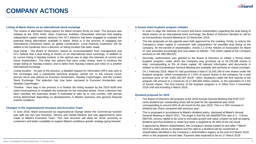#### **Listing of Marel shares on an international stock exchange**

- The review of alternative listing options for Marel remains firmly on track. The process was initiated at the 2018 AGM, when Chairman Asthildur Otharsdottir informed that leading independent capital markets advisory firm STJ Advisors had been engaged to evaluate the potential listing alternatives available to Marel. Marel is in the process of engaging two international investment banks as global coordinators. Local financial institutions will be added to the syndicate once a decision on listing location has been made.
- *Dual listing -* The Board of Directors, based on recommendation from management and STJ, believe that a dual listing of shares on an international stock exchange, in addition to its current listing in Nasdaq Iceland, is the optimal way to align the interests of current and future shareholders. The other two options that were under review, were to continue the single listing on Nasdaq Iceland, and to delist from Nasdaq Iceland and relist on a another international exchange.
- *Listing location -* As part of the process, a detailed request for information (RFI) was sent to five exchanges and a substantial technical analysis carried out. In the second round, primary focus was placed on Euronext Amsterdam, Nasdaq Copenhagen, and the London Stock Exchange. The selection has now been narrowed to Euronext Amsterdam and Nasdaq Copenhagen.
- *Timeline -* Next step in the process is to finalize the listing location by the 2019 AGM and select local partners to complete the syndicate for the execution phase. Once a decision has been reached, the execution phase is estimated to take up to nine months, with precise timing determined depending on developments in Marel's business and general financial market conditions.

#### **Changes in the organizational structure and Executive Team**

• In June 2018, Marel announced an organizational change where the Commercial function was split into two new functions, Service and Global Markets and new appointments were made to Marel's Executive Team. This new structure will allow for closer proximity to customers and better scalability to support Marel's ambitious growth strategy going forward.

#### **A formal share buyback program initiated**

- In order to align the interests of current and future shareholders regarding the dual listing of Marel shares on an international stock exchange, the Board of Directors decided to call for an Extraordinary General Meeting on 22 November 2018.
- The two proposals on the agenda were both approved by the meeting. Firstly, to reduce the Company's share capital in connection with preparations for possible dual listing of the company, for the benefit of shareholders. Article 2.1 of the Articles of Association for Marel hf. was amended accordingly and now states as follows: "The share capital of the Company amounts to ISK 682,585,921.
- Secondly, authorization was granted to the Board of Directors to initiate a formal share buyback program, under which the Company may purchase up to 34,129,296 shares in total, corresponding to 5% of share capital. All relevant information and documents in relation to the Extraordinary General Meeting are available and archived on marel.com/egm.
- On 1 February 2019, Marel hf. had purchased a total of 10,343,189 of own shares under the buyback program, which corresponds to 1.52% of issued shares in the company, for a total purchase price of ISK 3,991,155,307 (EUR ~29m). Buybacks under the first tranche of the program will amount to a maximum of 17,305,940 million shares, or the equivalent of 2.5% of issued shares. The first tranche of the buyback program is in effect from 4 December 2018 until and including 5 March 2019.

#### **Dividend proposal for 2019**

- The Board of Directors will propose at the 2019 Annual General Meeting that EUR 5.57 cents dividend per outstanding share will be paid for the operational year 2018, corresponding to around 30% of net result for the year 2018. This is a 33% increase in dividend per share compared with previous year.
- This is proposed in accordance to Marel's dividend policy, disclosed at Marel's Annual General Meeting in March 2011. The target is that the net debt/EBITDA ratio is 2 - 3 times EBITDA, excess capital to be used to stimulate growth and value creation as well as paying dividend and that dividend or share buy-back is targeted at 20-40% of the net result.
- If approved by Marel's shareholders, the Company's shares traded on and after 7 March 2019 (Ex-date) will be ex-dividend and the right to a dividend will be constricted to shareholders identified in the Company´s shareholders registry at the end of 8 March 2019, which is the proposed record date. Payment date expected to be on 27 March 2019.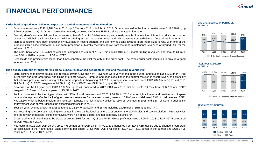## **FINANCIAL PERFORMANCE**

#### **Order book at good level, balanced exposure to global economies and local markets**

- Orders received were EUR 1,184.1m in 2018, up 3.5% from EUR 1,143.7m in 2017. Orders received in the fourth quarter were EUR 296.0m, up 5.2% compared to 4Q17. Orders received from newly acquired MAJA was EUR 8m since the acquisition date.
- Overall, Marel's commercial position continues to benefit from its full-line offering and steady launch of innovative high-tech products for smarter processing. Global reach and focus on full-line offering across the poultry, meat and fish industries counterbalances fluctuations in operations. Market conditions have been exceptionally favorable in recent quarters and are now adjusting towards more normalized levels. With one of the largest installed base worldwide, a significant proportion of Marel's revenues derive from recurring maintenance revenues or around 35% for the full year of 2018.
- The order book was EUR 476m at year-end, compared to 472m at YE17. This equals 40% of 12-month trailing revenues. The book-to-bill ratio was 0.99 in 2018 compared to 1.10 for FY17.
- Greenfields and projects with longer lead times constitute the vast majority of the order book. The strong order book continues to provide a good foundation for 2019.

#### **High quality earnings through Marel's global exposure, balanced geographical mix and recurring revenue mix**

- Marel continues to deliver double digit revenue growth QoQ and YoY. Revenues were very strong in the quarter and totaled EUR 330.8m in 4Q18 in line with our large order book and timing of project delivery. Ramp up and good execution in the quarter resulted in record revenues historically that relieves pressure from running at the same capacity in beginning of 2019. In comparison, revenues were EUR 282.0m in 3Q18 and EUR 294.8m in 4Q17. EBIT\* margin was 14.6% in 4Q18 and EBIT\* was EUR 48.2m, up 4.3% YoY.
- Revenues for the full year were EUR 1,197.9m, up 15.4% compared to 2017. EBIT was EUR 175.2m, up 11.3% YoY from EUR 157.4m. EBIT\* margin in 2018 was 14.6%, compared to 15.2% in 2017.
- Poultry continues to be the biggest driver with 53% of total revenues and EBIT of 18.4% in 2018 due to high volumes and positive mix of spare parts and equipment. On the back of good volumes, revenues for the meat industry were up 15.7% YoY and delivered 33% of total revenue. EBIT\* was 11.3% which is below medium and long-term targets. The fish industry delivered 13% of revenues in 2018 and EBIT of 7.9%, a substantial improvement year-on year despite the expected soft results in 4Q18.
- Year-on-year revenue growth in 2018 amounts to 12.5% organically, and 15.4% including acquisitions (Sulmaq and MAJA).
- Non-recurring advisory costs, relating to changes in the organizational structure to strengthen the global sales and service platform, M&A activities and the review of possible listing alternatives, were high in the quarter and not especially adjusted for.
- Gross profit margin continues to be stable at around 39% for both 4Q18 and FY18. Gross profit increased 14.9% in 2018 to EUR 467.5 compared to EUR 406.7m in 2017.
- Net result in 4Q18 was EUR 38.0m, up 12.4% compared to EUR 33.8m in 4Q17 and benefited from EUR 7.6m upside due to change in corporate tax legislation in the Netherlands. Basic earnings per share (EPS) were EUR 5.61 cents (4Q17 EUR 4.81 cents) in the quarter and EUR 17.95 cents in 2018 (FY17: 13.70 cents).

**ORDERS RECEIVED ORDER BOOK %,** EUR m



#### **REVENUES AND EBIT\* %,** EUR m



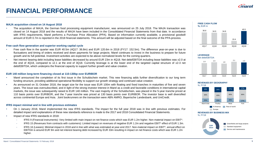# **FINANCIAL PERFORMANCE**

#### **MAJA acquisition closed on 14 August 2018**

• The acquisition of MAJA, the German food processing equipment manufacturer, was announced on 25 July 2018. The MAJA transaction was closed on 14 August 2018 and the results of MAJA have been included in the Consolidated Financial Statements from that date. In accordance with IFRS requirements, Marel performs a Purchase Price Allocation (PPA). Based on information currently available, a provisional goodwill amount of EUR 0.7m is reported in the 2018 financial statements. This amount will be adjusted based on the final outcome of the PPA-process.

#### **Free cash flow generation and superior working capital cycle**

- Free cash flow in the quarter was EUR 40.5m (4Q17: 36.8m) and EUR 120.6m in 2018 (FY17: 152.5m). The difference year-on-year is due to fluctuations and timing of orders received and down payments for large projects. Marel continues to invest in the business to prepare for future growth and its full potential. Investment activities are expected to be above normalized levels for the coming quarters.
- Net interest bearing debt including lease liabilities decreased by around EUR 23m in 4Q18. Net debt/EBITDA including lease liabilities was x2.0 at the end of 4Q18, compared to x2.1 at the end of 3Q18. Currently leverage is at the lower end of the targeted capital structure of x2-3 net debt/EBITDA, which underpins the financial capacity to support further growth and value creation.

#### **EUR 140 million long-term financing closed at 110-130bp over EURIBOR**

- Marel announced the completion of its first issue in the Schuldschein market. This new financing adds further diversification to our long term funding structure, providing additional operational flexibility to support our growth strategy and continued value creation.
- As announced on 31 October 2018, the target size for the issue was EUR 100m with floating and fixed tranches in maturities of five and seven years. The issue was oversubscribed, and in light of the strong investor interest in Marel as a credit and favorable conditions in international capital markets, the issue was subsequently raised to EUR 140 million. The vast majority of the Schuldschein, was placed in the 5-year tranche priced at 110 basis points over EURIBOR, and the 7-year tranche was priced at 130 basis points over EURIBOR. The investor base is well diversified across continental Europe and Asia. Joint bookrunners on the transaction were ABN AMRO, Bayerische Landesbank, and UniCredit.

#### **IFRS impact minimal and in line with previous estimates**

- On 1 January 2018, Marel implemented the new IFRS standards. The impact for the full year 2018 was in line with previous estimates. For detailed impact and explanations of these new standards reference is made to the 2017 and 2018 Consolidated Financial Statements.
- Impact of new IFRS standards in 2018:
	- IFRS 9 (Financial instruments): Very limited with main impact on net finance costs which was EUR 1.2m higher. Non-material impact on EBIT\*.
	- IFRS 15 (Revenues from contracts with customers): Limited impact on revenues of negative EUR 1.2m and negative EBIT\* effect of EUR 1.3m.
	- IFRS 16 (Leases): Minimal impact in 2018 and in line with what was estimated at year-end 2017. Non-material impact on EBIT\*, annual effect on EBITDA is around EUR 9m and net interest bearing debt increased by EUR 33m resulting in impact on net finance costs which was EUR 1.2m higher.



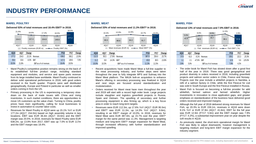## **INDUSTRY PERFORMANCE**

#### **MAREL POULTRY MAREL MEAT MAREL FISH**



- Marel Poultry's competitive position remains strong on the back of its established full-line product range, including standard equipment and modules, and service and spare parts revenue from its large installed base worldwide. Marel Poultry continued to deliver solid operational performance in 2018, with good orders received in the fourth quarter. Projects were well distributed geographically, Europe and Poland in particular as well as smaller orders coming in from the US.
- Primary processing in the US is experiencing a temporary slowdown on the back of trade issues with China and rising inventories. In such market conditions, there are opportunities to move US customers up the value chain. Turning to China, poultry prices have risen significantly, calling for local businesses to invest in automation to counter labor costs.
- Revenues for Marel Poultry in 4Q18 were up 15.1% YoY or EUR 177.2m (4Q17: 154.0m) based on high assembly volume in key locations. EBIT was EUR 36.4m (4Q17: 33.6m) and the EBIT margin was 20.5%. In 2018, revenues for Marel Poultry were EUR 638.2m, up 13.9% from 2017, EBIT was up 7.0% to EUR 117m and the EBIT margin was 18.4%.



• Recent acquisitions have made Marel Meat a full-line supplier to the meat processing industry, and further steps were taken throughout the year to fully integrate MPS and Sulmaq into the Marel Meat platform. The MAJA bolt-on acquisition to enhance Marel's offering in secondary processing was finalized in 3Q18 and next steps are focused around standardization and modularization.

10.0% 10.3% EBIT\* as a % of revenues 11.3% 11.5%

- Orders received for Marel meat have risen throughout the year and 2019 will start with a record high order book. Large projects include slaughter and logistics greenfield projects in Russia. Spain and Vietnam. The upselling of secondary and further processing equipment is also firming up, which is a key focus area in order to reach long-term targets.
- Revenues were EUR 112.3m, up 17.6% YoY (4Q17: EUR 95.5m) and EBIT\* was EUR 11.2m, up 14.3% YoY (4Q17: 9.8m), resulting in an EBIT\* margin of 10.0%. In 2018, revenues for Marel Meat were EUR 387.0m, up 15.7% over the year. EBIT\* margin for the same period was 11.3%. Management is targeting medium and long-term EBIT\* margin expansion for Marel Meat, through increased efficiency with further standardization and improved upselling.



- The order book for Marel Fish has slowed down after a good first half of the year in 2018. There was good geographical and product diversity in orders received in 2018, including greenfield projects and salmon sector orders in Chile, France and Norway. Projects over the year include a whitefish projects in Namibia, a refit of a salmon factory in Chile, while the first Flexicut for cod was sold in South Europe and the first Flexicut installed in Russia.
- Marel Fish is focused on becoming a full-line provider for wild whitefish, farmed salmon and farmed whitefish. Higher investments in innovation to close application gaps, and greater emphasis on standardization of the business have delivered good orders received and improved margins.
- Although the full year of 2018 delivered strong revenues for Marel Fish, up 20.3% to EUR 159.1m, revenues in 4Q18 were down 9.1% YoY or EUR 37.8m (4Q17: 41.6m). EBIT for the full year was EUR 12.6m (FY17: 5.6m) and the EBIT margin was 7.9% (FY17: 4.2%), a substantial improvement year-on year despite the soft results in 4Q18.
- As previously stated, the short-term operational margin for Marel Fish was likely to adjust downwards, however management is targeting medium and long-term EBIT margin expansion for the industry segment.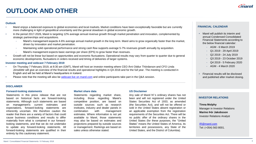# **OUTLOOK AND OTHER**



- Marel enjoys a balanced exposure to global economies and local markets. Market conditions have been exceptionally favorable but are currently more challenging in light of geopolitical uncertainty and the general slowdown in global economic growth.
- In the period 2017-2026, Marel is targeting 12% average annual revenue growth through market penetration and innovation, complemented by strategic partnerships and acquisitions.
	- Marel's management expects 4-6% average annual market growth in the long term. Marel aims to grow organically faster than the market, driven by innovation and market penetration.
	- Maintaining solid operational performance and strong cash flow supports average 5-7% revenues growth annually by acquisition.
	- Marel's management expects basic earnings per share (EPS) to grow faster than revenues.
- Growth will not be linear but based on opportunities and economic fluctuations. Operational results may vary from quarter to quarter due to general economic developments, fluctuations in orders received and timing of deliveries of larger systems.

### **Investor meeting and webcast 7 February 2019**

- On Thursday 7 February 2019, at 8:30 am (GMT), Marel will host an investor meeting where CEO Árni Oddur Thórdarson and CFO Linda Jónsdóttir will give an overview of the financial results and operational highlights in Q4 2018 and for the full year. The meeting is conducted in English and will be held at Marel's headquarters in Iceland.
- Please note that the meeting will also be [webcast live on marel.com](http://www.marel.com/webcast) and online participants take part in the Q&A session.

### **FINANCIAL CALENDAR**

- Marel will publish its interim and annual Condensed Consolidated Financial Statements according to the below financial calendar:
	- AGM 6 March 2019
	- Q1 2019 29 April 2019
	- Q2 2019 24 July 2019
	- Q3 2019 23 October 2019
	- Q4 2019 5 February 2020
	- AGM 4 March 2020
- Financial results will be disclosed and published after market closing.

#### **DISCLAIMER**

#### **Forward-looking statements**

Statements in this press release that are not based on historical facts are forward-looking statements. Although such statements are based on management's current estimates and expectations, forward-looking statements are inherently uncertain. We therefore caution the reader that there are a variety of factors that could cause business conditions and results to differ materially from what is contained in our forwardlooking statements, and that we do not undertake to update any forward-looking statements. All forward-looking statements are qualified in their entirety by this cautionary statement.

#### **Market share data**

Statements regarding market share, including those regarding Marel's competitive position, are based on outside sources such as research institutes, industry and dealer panels in combination with management estimates. Where information is not yet available to Marel, those statements may also be based on estimates and projections prepared by outside sources or management. Rankings are based on sales unless otherwise stated.

#### **US Disclaimer**

Any sale of Marel hf.'s ordinary shares has not been and will not registered under the United States Securities Act of 1933, as amended (the Securities Act), and will not be offered or sold in the United States absent registration or an applicable exemption from the registration requirements of the Securities Act. There will be no public offer of the ordinary shares in the United States (for these purposes, the "United States" means the United States of America, its territories and possessions, any State of the United States, and the District of Columbia).

### **INVESTOR RELATIONS**

**Tinna Molphy** Manager in Investor Relations **Marino Þór Jakobsson** Investor Relations Analyst

[IR@marel.com](mailto:investors@marel.com) Tel: (+354) 563 8001.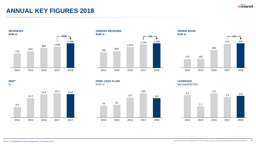

### **ANNUAL KEY FIGURES 2018**







**EBIT\*** %



**FREE CASH FLOW** EUR m



**LEVERAGE** Net debt/EBITDA